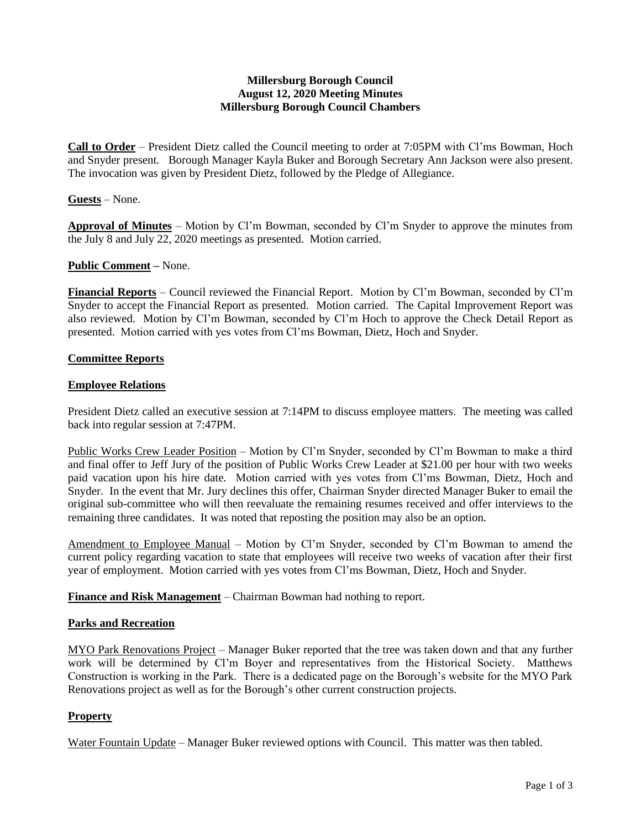# **Millersburg Borough Council August 12, 2020 Meeting Minutes Millersburg Borough Council Chambers**

**Call to Order** – President Dietz called the Council meeting to order at 7:05PM with Cl'ms Bowman, Hoch and Snyder present. Borough Manager Kayla Buker and Borough Secretary Ann Jackson were also present. The invocation was given by President Dietz, followed by the Pledge of Allegiance.

## **Guests** – None.

**Approval of Minutes** – Motion by Cl'm Bowman, seconded by Cl'm Snyder to approve the minutes from the July 8 and July 22, 2020 meetings as presented. Motion carried.

## **Public Comment –** None.

**Financial Reports** – Council reviewed the Financial Report. Motion by Cl'm Bowman, seconded by Cl'm Snyder to accept the Financial Report as presented. Motion carried. The Capital Improvement Report was also reviewed. Motion by Cl'm Bowman, seconded by Cl'm Hoch to approve the Check Detail Report as presented. Motion carried with yes votes from Cl'ms Bowman, Dietz, Hoch and Snyder.

## **Committee Reports**

## **Employee Relations**

President Dietz called an executive session at 7:14PM to discuss employee matters. The meeting was called back into regular session at 7:47PM.

Public Works Crew Leader Position – Motion by Cl'm Snyder, seconded by Cl'm Bowman to make a third and final offer to Jeff Jury of the position of Public Works Crew Leader at \$21.00 per hour with two weeks paid vacation upon his hire date. Motion carried with yes votes from Cl'ms Bowman, Dietz, Hoch and Snyder. In the event that Mr. Jury declines this offer, Chairman Snyder directed Manager Buker to email the original sub-committee who will then reevaluate the remaining resumes received and offer interviews to the remaining three candidates. It was noted that reposting the position may also be an option.

Amendment to Employee Manual – Motion by Cl'm Snyder, seconded by Cl'm Bowman to amend the current policy regarding vacation to state that employees will receive two weeks of vacation after their first year of employment. Motion carried with yes votes from Cl'ms Bowman, Dietz, Hoch and Snyder.

**Finance and Risk Management** – Chairman Bowman had nothing to report.

#### **Parks and Recreation**

MYO Park Renovations Project – Manager Buker reported that the tree was taken down and that any further work will be determined by Cl'm Boyer and representatives from the Historical Society. Matthews Construction is working in the Park. There is a dedicated page on the Borough's website for the MYO Park Renovations project as well as for the Borough's other current construction projects.

## **Property**

Water Fountain Update – Manager Buker reviewed options with Council. This matter was then tabled.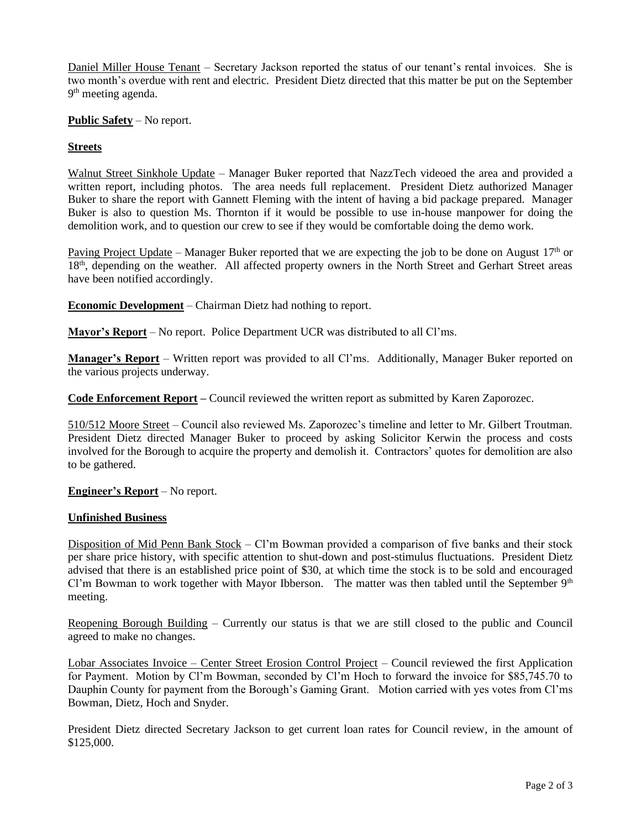Daniel Miller House Tenant – Secretary Jackson reported the status of our tenant's rental invoices. She is two month's overdue with rent and electric. President Dietz directed that this matter be put on the September 9<sup>th</sup> meeting agenda.

**Public Safety** – No report.

# **Streets**

Walnut Street Sinkhole Update – Manager Buker reported that NazzTech videoed the area and provided a written report, including photos. The area needs full replacement. President Dietz authorized Manager Buker to share the report with Gannett Fleming with the intent of having a bid package prepared. Manager Buker is also to question Ms. Thornton if it would be possible to use in-house manpower for doing the demolition work, and to question our crew to see if they would be comfortable doing the demo work.

Paving Project Update – Manager Buker reported that we are expecting the job to be done on August  $17<sup>th</sup>$  or 18<sup>th</sup>, depending on the weather. All affected property owners in the North Street and Gerhart Street areas have been notified accordingly.

**Economic Development** – Chairman Dietz had nothing to report.

**Mayor's Report** – No report. Police Department UCR was distributed to all Cl'ms.

**Manager's Report** – Written report was provided to all Cl'ms. Additionally, Manager Buker reported on the various projects underway.

**Code Enforcement Report –** Council reviewed the written report as submitted by Karen Zaporozec.

510/512 Moore Street – Council also reviewed Ms. Zaporozec's timeline and letter to Mr. Gilbert Troutman. President Dietz directed Manager Buker to proceed by asking Solicitor Kerwin the process and costs involved for the Borough to acquire the property and demolish it. Contractors' quotes for demolition are also to be gathered.

## **Engineer's Report** – No report.

# **Unfinished Business**

Disposition of Mid Penn Bank Stock – Cl'm Bowman provided a comparison of five banks and their stock per share price history, with specific attention to shut-down and post-stimulus fluctuations. President Dietz advised that there is an established price point of \$30, at which time the stock is to be sold and encouraged Cl'm Bowman to work together with Mayor Ibberson. The matter was then tabled until the September  $9<sup>th</sup>$ meeting.

Reopening Borough Building – Currently our status is that we are still closed to the public and Council agreed to make no changes.

Lobar Associates Invoice – Center Street Erosion Control Project – Council reviewed the first Application for Payment. Motion by Cl'm Bowman, seconded by Cl'm Hoch to forward the invoice for \$85,745.70 to Dauphin County for payment from the Borough's Gaming Grant. Motion carried with yes votes from Cl'ms Bowman, Dietz, Hoch and Snyder.

President Dietz directed Secretary Jackson to get current loan rates for Council review, in the amount of \$125,000.